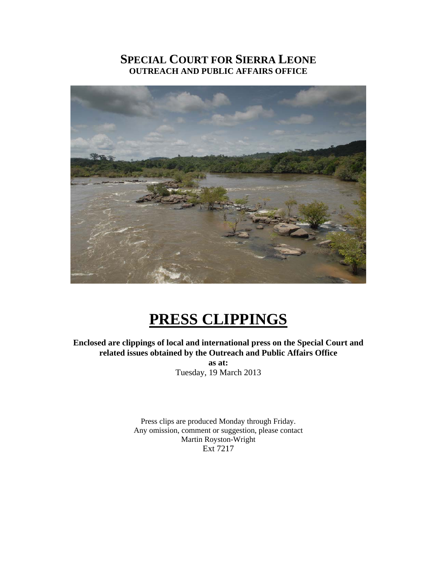# **SPECIAL COURT FOR SIERRA LEONE OUTREACH AND PUBLIC AFFAIRS OFFICE**



# **PRESS CLIPPINGS**

**Enclosed are clippings of local and international press on the Special Court and related issues obtained by the Outreach and Public Affairs Office as at:**  Tuesday, 19 March 2013

> Press clips are produced Monday through Friday. Any omission, comment or suggestion, please contact Martin Royston-Wright Ext 7217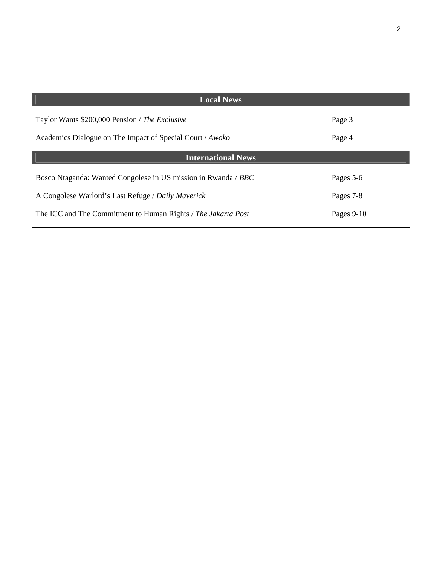| <b>Local News</b>                                              |            |
|----------------------------------------------------------------|------------|
| Taylor Wants \$200,000 Pension / The Exclusive                 | Page 3     |
| Academics Dialogue on The Impact of Special Court / Awoko      | Page 4     |
| <b>International News</b>                                      |            |
| Bosco Ntaganda: Wanted Congolese in US mission in Rwanda / BBC | Pages 5-6  |
| A Congolese Warlord's Last Refuge / Daily Maverick             | Pages 7-8  |
| The ICC and The Commitment to Human Rights / The Jakarta Post  | Pages 9-10 |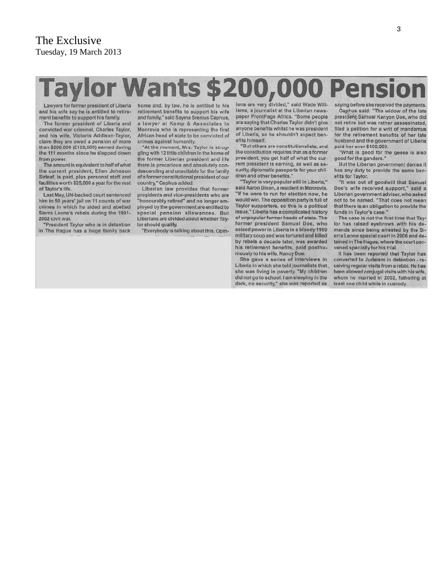# or Wants \$200,0 Pen

Lawyers for former president of Liberia and his wife say he is entitled to retirement benefits to support his family.

The former president of Liberia and convicted war criminal, Charles Taylor, and his wife, Victoria Addison-Taylor, claim they are owed a pension of more than \$200,000 (£128,000) earned during the 111 months since he stepped down from power.

The amount is equivalent to half of what the current president, Ellen Johnson Sirleaf, is paid, plus personal staff and facilities worth \$25,000 a year for the rest of Taylor's life.

Last May, UN-backed court sentenced him to 50 years' jail on 11 counts of war crimes in which he aided and abetted Sierra Leone's rebels during the 1991-2002 civil war.

"President Taylor who is in detention in The Hague has a huge family back home and, by law, he is entitled to his retirement benefits to support his wife and family," said Sayma Srenius Cephus. a lawyer at Kemp & Associates in Monrovia who is representing the first African head of state to be convicted of crimes against humanity.

"At the moment, Mrs. Taylor is struggling with 12 little children in the home of the former Liberian president and life there is precarious and absolutely condescending and unsuitable for the family of a former constitutional president of our country," Cephus added.

Liberian law provides that former presidents and vice-presidents who are "honourably retired" and no longer employed by the government are entitled to special pension allowances. But Liberians are divided about whether Taylor should qualify.

"Everybody is talking about this. Opin-

ions are very divided." said Wade Willlams, a journalist at the Liberian newspaper FrontPage Africa. "Some people are saying that Charles Taylor didn't give anyone benefits whilst he was president of Liberia, so he shouldn't expect benefits himself.

"But others are constitutionalists, and the constitution requires that as a former president, you get half of what the current president is earning, as well as security, diplomatic passports for your children and other benefits."

Taylor is very popular still in Liberia," said Aaron Dixon, a resident in Monrovia. "If he were to run for election now, he would win. The opposition party is full of Taylor supporters, so this is a political issue." Liberia has a complicated history of unpopular former heads of state. The former president Samuel Doe, who seized power in Liberia in a bloody 1980 military coup and was tortured and killed by rebels a decade later, was awarded his retirement benefits, paid posthumously to his wife, Nancy Doe.

She gave a series of interviews in Liberia in which she told journalists that she was living in poverty. "My children did not go to school. I am sleeping in the dark, no security," she was reported as

saying before she received the payments

Cephus said: "The widow of the late president Samuel Kanyon Doe, who did not retire but was rather assassinated, filed a petition for a writ of mandamus for the retirement benefits of her late husband and the government of Liberia paid her over \$400,000.

"What is good for the geese is also good for the ganders.'

But the Liberian government denies it has any duty to provide the same benefits for Taylor.

"It was out of goodwill that Samuel Doe's wife received support," said a Liberian government adviser, who asked not to be named. "That does not mean that there is an obligation to provide the funds in Taylor's case."

The case is not the first time that Taylor has raised eyebrows with his demands since being arrested by the Sierra Leone special court in 2006 and detained in The Hague, where the court convened specially for his trial.

It has been reported that Taylor has converted to Judaism in detention - receiving regular visits from a rabbi. He has been allowed conjugal visits with his wife, whom he married in 2002, fathering at least one child while in custody.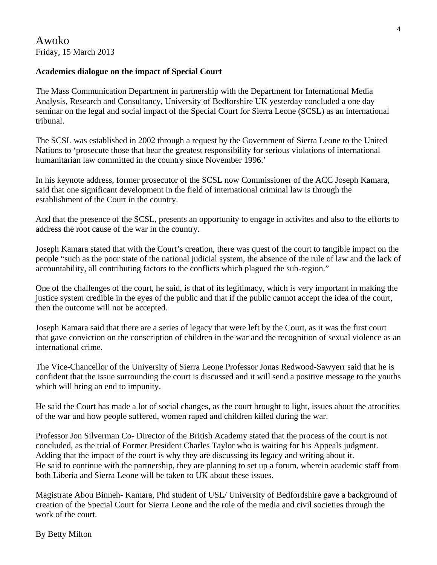## **Academics dialogue on the impact of Special Court**

The Mass Communication Department in partnership with the Department for International Media Analysis, Research and Consultancy, University of Bedforshire UK yesterday concluded a one day seminar on the legal and social impact of the Special Court for Sierra Leone (SCSL) as an international tribunal.

The SCSL was established in 2002 through a request by the Government of Sierra Leone to the United Nations to 'prosecute those that bear the greatest responsibility for serious violations of international humanitarian law committed in the country since November 1996.'

In his keynote address, former prosecutor of the SCSL now Commissioner of the ACC Joseph Kamara, said that one significant development in the field of international criminal law is through the establishment of the Court in the country.

And that the presence of the SCSL, presents an opportunity to engage in activites and also to the efforts to address the root cause of the war in the country.

Joseph Kamara stated that with the Court's creation, there was quest of the court to tangible impact on the people "such as the poor state of the national judicial system, the absence of the rule of law and the lack of accountability, all contributing factors to the conflicts which plagued the sub-region."

One of the challenges of the court, he said, is that of its legitimacy, which is very important in making the justice system credible in the eyes of the public and that if the public cannot accept the idea of the court, then the outcome will not be accepted.

Joseph Kamara said that there are a series of legacy that were left by the Court, as it was the first court that gave conviction on the conscription of children in the war and the recognition of sexual violence as an international crime.

The Vice-Chancellor of the University of Sierra Leone Professor Jonas Redwood-Sawyerr said that he is confident that the issue surrounding the court is discussed and it will send a positive message to the youths which will bring an end to impunity.

He said the Court has made a lot of social changes, as the court brought to light, issues about the atrocities of the war and how people suffered, women raped and children killed during the war.

Professor Jon Silverman Co- Director of the British Academy stated that the process of the court is not concluded, as the trial of Former President Charles Taylor who is waiting for his Appeals judgment. Adding that the impact of the court is why they are discussing its legacy and writing about it. He said to continue with the partnership, they are planning to set up a forum, wherein academic staff from both Liberia and Sierra Leone will be taken to UK about these issues.

Magistrate Abou Binneh- Kamara, Phd student of USL/ University of Bedfordshire gave a background of creation of the Special Court for Sierra Leone and the role of the media and civil societies through the work of the court.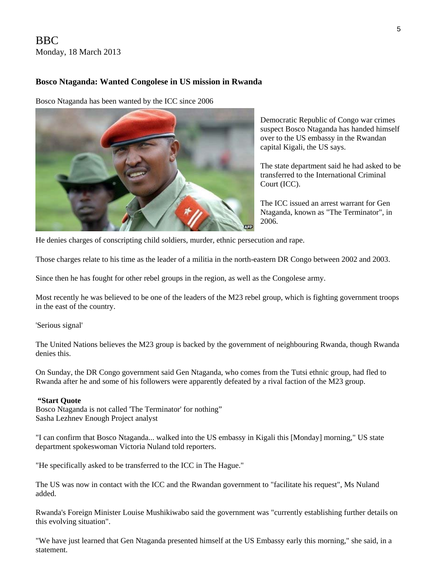## BBC Monday, 18 March 2013

#### **Bosco Ntaganda: Wanted Congolese in US mission in Rwanda**

Bosco Ntaganda has been wanted by the ICC since 2006



Democratic Republic of Congo war crimes suspect Bosco Ntaganda has handed himself over to the US embassy in the Rwandan capital Kigali, the US says.

The state department said he had asked to b e transferred to the International Criminal Court (ICC).

The ICC issued an arrest warrant for Gen Ntaganda, known as "The Terminator", in 2006.

He denies charges of conscripting child soldiers, murder, ethnic persecution and rape.

Those charges relate to his time as the leader of a militia in the north-eastern DR Congo between 2002 and 2003.

Since then he has fought for other rebel groups in the region, as well as the Congolese army.

Most recently he was believed to be one of the leaders of the M23 rebel group, which is fighting government troops in the east of the country.

'Serious signal'

The United Nations believes the M23 group is backed by the government of neighbouring Rwanda, though Rwanda denies this.

On Sunday, the DR Congo government said Gen Ntaganda, who comes from the Tutsi ethnic group, had fled to Rwanda after he and some of his followers were apparently defeated by a rival faction of the M23 group.

#### **"Start Quote**

Bosco Ntaganda is not called 'The Terminator' for nothing" Sasha Lezhnev Enough Project analyst

"I can confirm that Bosco Ntaganda... walked into the US embassy in Kigali this [Monday] morning," US state department spokeswoman Victoria Nuland told reporters.

"He specifically asked to be transferred to the ICC in The Hague."

The US was now in contact with the ICC and the Rwandan government to "facilitate his request", Ms Nuland added.

Rwanda's Foreign Minister Louise Mushikiwabo said the government was "currently establishing further details on this evolving situation".

"We have just learned that Gen Ntaganda presented himself at the US Embassy early this morning," she said, in a statement.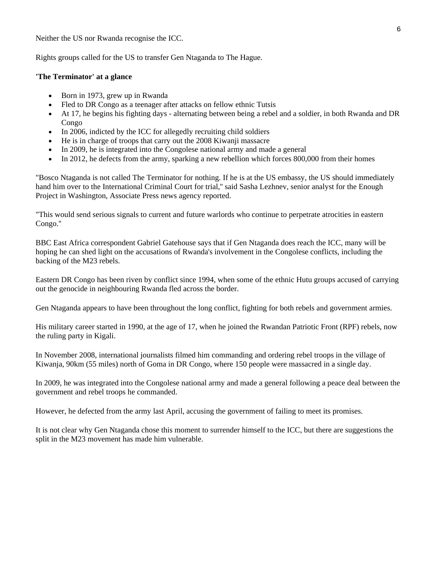Neither the US nor Rwanda recognise the ICC.

Rights groups called for the US to transfer Gen Ntaganda to The Hague.

#### **'The Terminator' at a glance**

- Born in 1973, grew up in Rwanda
- Fled to DR Congo as a teenager after attacks on fellow ethnic Tutsis
- At 17, he begins his fighting days alternating between being a rebel and a soldier, in both Rwanda and DR Congo
- In 2006, indicted by the ICC for allegedly recruiting child soldiers
- He is in charge of troops that carry out the 2008 Kiwanji massacre
- In 2009, he is integrated into the Congolese national army and made a general
- In 2012, he defects from the army, sparking a new rebellion which forces 800,000 from their homes

"Bosco Ntaganda is not called The Terminator for nothing. If he is at the US embassy, the US should immediately hand him over to the International Criminal Court for trial,'' said Sasha Lezhnev, senior analyst for the Enough Project in Washington, Associate Press news agency reported.

"This would send serious signals to current and future warlords who continue to perpetrate atrocities in eastern Congo.''

BBC East Africa correspondent Gabriel Gatehouse says that if Gen Ntaganda does reach the ICC, many will be hoping he can shed light on the accusations of Rwanda's involvement in the Congolese conflicts, including the backing of the M23 rebels.

Eastern DR Congo has been riven by conflict since 1994, when some of the ethnic Hutu groups accused of carrying out the genocide in neighbouring Rwanda fled across the border.

Gen Ntaganda appears to have been throughout the long conflict, fighting for both rebels and government armies.

His military career started in 1990, at the age of 17, when he joined the Rwandan Patriotic Front (RPF) rebels, now the ruling party in Kigali.

In November 2008, international journalists filmed him commanding and ordering rebel troops in the village of Kiwanja, 90km (55 miles) north of Goma in DR Congo, where 150 people were massacred in a single day.

In 2009, he was integrated into the Congolese national army and made a general following a peace deal between the government and rebel troops he commanded.

However, he defected from the army last April, accusing the government of failing to meet its promises.

It is not clear why Gen Ntaganda chose this moment to surrender himself to the ICC, but there are suggestions the split in the M23 movement has made him vulnerable.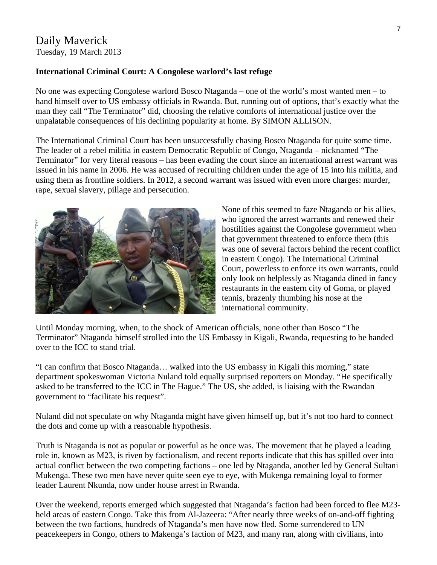# Daily Maverick Tuesday, 19 March 2013

## **International Criminal Court: A Congolese warlord's last refuge**

No one was expecting Congolese warlord Bosco Ntaganda – one of the world's most wanted men – to hand himself over to US embassy officials in Rwanda. But, running out of options, that's exactly what the man they call "The Terminator" did, choosing the relative comforts of international justice over the unpalatable consequences of his declining popularity at home. By SIMON ALLISON.

The International Criminal Court has been unsuccessfully chasing Bosco Ntaganda for quite some time. The leader of a rebel militia in eastern Democratic Republic of Congo, Ntaganda – nicknamed "The Terminator" for very literal reasons – has been evading the court since an international arrest warrant was issued in his name in 2006. He was accused of recruiting children under the age of 15 into his militia, and using them as frontline soldiers. In 2012, a second warrant was issued with even more charges: murder, rape, sexual slavery, pillage and persecution.



None of this seemed to faze Ntaganda or his allies, who ignored the arrest warrants and renewed their hostilities against the Congolese government when that government threatened to enforce them (this was one of several factors behind the recent conflict in eastern Congo). The International Criminal Court, powerless to enforce its own warrants, could only look on helplessly as Ntaganda dined in fancy restaurants in the eastern city of Goma, or played tennis, brazenly thumbing his nose at the international community.

Until Monday morning, when, to the shock of American officials, none other than Bosco "The Terminator" Ntaganda himself strolled into the US Embassy in Kigali, Rwanda, requesting to be handed over to the ICC to stand trial.

"I can confirm that Bosco Ntaganda… walked into the US embassy in Kigali this morning," state department spokeswoman Victoria Nuland told equally surprised reporters on Monday. "He specifically asked to be transferred to the ICC in The Hague." The US, she added, is liaising with the Rwandan government to "facilitate his request".

Nuland did not speculate on why Ntaganda might have given himself up, but it's not too hard to connect the dots and come up with a reasonable hypothesis.

Truth is Ntaganda is not as popular or powerful as he once was. The movement that he played a leading role in, known as M23, is riven by factionalism, and recent reports indicate that this has spilled over into actual conflict between the two competing factions – one led by Ntaganda, another led by General Sultani Mukenga. These two men have never quite seen eye to eye, with Mukenga remaining loyal to former leader Laurent Nkunda, now under house arrest in Rwanda.

Over the weekend, reports emerged which suggested that Ntaganda's faction had been forced to flee M23 held areas of eastern Congo. Take this from Al-Jazeera: "After nearly three weeks of on-and-off fighting between the two factions, hundreds of Ntaganda's men have now fled. Some surrendered to UN peacekeepers in Congo, others to Makenga's faction of M23, and many ran, along with civilians, into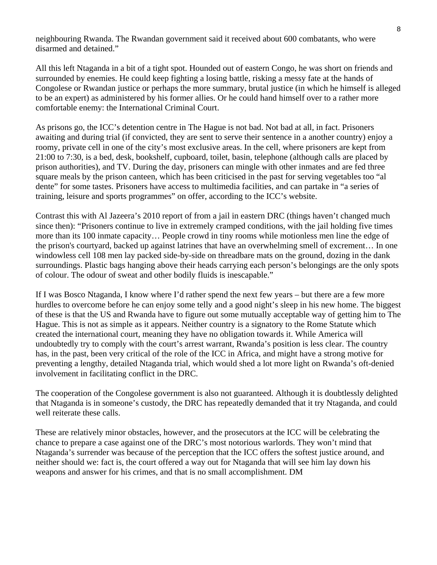neighbouring Rwanda. The Rwandan government said it received about 600 combatants, who were disarmed and detained."

All this left Ntaganda in a bit of a tight spot. Hounded out of eastern Congo, he was short on friends and surrounded by enemies. He could keep fighting a losing battle, risking a messy fate at the hands of Congolese or Rwandan justice or perhaps the more summary, brutal justice (in which he himself is alleged to be an expert) as administered by his former allies. Or he could hand himself over to a rather more comfortable enemy: the International Criminal Court.

As prisons go, the ICC's detention centre in The Hague is not bad. Not bad at all, in fact. Prisoners awaiting and during trial (if convicted, they are sent to serve their sentence in a another country) enjoy a roomy, private cell in one of the city's most exclusive areas. In the cell, where prisoners are kept from 21:00 to 7:30, is a bed, desk, bookshelf, cupboard, toilet, basin, telephone (although calls are placed by prison authorities), and TV. During the day, prisoners can mingle with other inmates and are fed three square meals by the prison canteen, which has been criticised in the past for serving vegetables too "al dente" for some tastes. Prisoners have access to multimedia facilities, and can partake in "a series of training, leisure and sports programmes" on offer, according to the ICC's website.

Contrast this with Al Jazeera's 2010 report of from a jail in eastern DRC (things haven't changed much since then): "Prisoners continue to live in extremely cramped conditions, with the jail holding five times more than its 100 inmate capacity… People crowd in tiny rooms while motionless men line the edge of the prison's courtyard, backed up against latrines that have an overwhelming smell of excrement… In one windowless cell 108 men lay packed side-by-side on threadbare mats on the ground, dozing in the dank surroundings. Plastic bags hanging above their heads carrying each person's belongings are the only spots of colour. The odour of sweat and other bodily fluids is inescapable."

If I was Bosco Ntaganda, I know where I'd rather spend the next few years – but there are a few more hurdles to overcome before he can enjoy some telly and a good night's sleep in his new home. The biggest of these is that the US and Rwanda have to figure out some mutually acceptable way of getting him to The Hague. This is not as simple as it appears. Neither country is a signatory to the Rome Statute which created the international court, meaning they have no obligation towards it. While America will undoubtedly try to comply with the court's arrest warrant, Rwanda's position is less clear. The country has, in the past, been very critical of the role of the ICC in Africa, and might have a strong motive for preventing a lengthy, detailed Ntaganda trial, which would shed a lot more light on Rwanda's oft-denied involvement in facilitating conflict in the DRC.

The cooperation of the Congolese government is also not guaranteed. Although it is doubtlessly delighted that Ntaganda is in someone's custody, the DRC has repeatedly demanded that it try Ntaganda, and could well reiterate these calls.

These are relatively minor obstacles, however, and the prosecutors at the ICC will be celebrating the chance to prepare a case against one of the DRC's most notorious warlords. They won't mind that Ntaganda's surrender was because of the perception that the ICC offers the softest justice around, and neither should we: fact is, the court offered a way out for Ntaganda that will see him lay down his weapons and answer for his crimes, and that is no small accomplishment. DM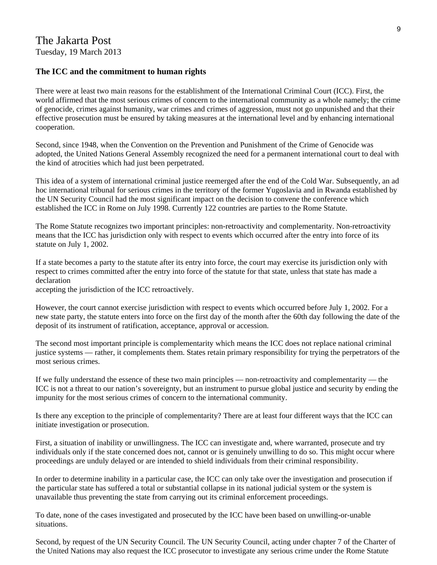#### **The ICC and the commitment to human rights**

There were at least two main reasons for the establishment of the International Criminal Court (ICC). First, the world affirmed that the most serious crimes of concern to the international community as a whole namely; the crime of genocide, crimes against humanity, war crimes and crimes of aggression, must not go unpunished and that their effective prosecution must be ensured by taking measures at the international level and by enhancing international cooperation.

Second, since 1948, when the Convention on the Prevention and Punishment of the Crime of Genocide was adopted, the United Nations General Assembly recognized the need for a permanent international court to deal with the kind of atrocities which had just been perpetrated.

This idea of a system of international criminal justice reemerged after the end of the Cold War. Subsequently, an ad hoc international tribunal for serious crimes in the territory of the former Yugoslavia and in Rwanda established by the UN Security Council had the most significant impact on the decision to convene the conference which established the ICC in Rome on July 1998. Currently 122 countries are parties to the Rome Statute.

The Rome Statute recognizes two important principles: non-retroactivity and complementarity. Non-retroactivity means that the ICC has jurisdiction only with respect to events which occurred after the entry into force of its statute on July 1, 2002.

If a state becomes a party to the statute after its entry into force, the court may exercise its jurisdiction only with respect to crimes committed after the entry into force of the statute for that state, unless that state has made a declaration

accepting the jurisdiction of the ICC retroactively.

However, the court cannot exercise jurisdiction with respect to events which occurred before July 1, 2002. For a new state party, the statute enters into force on the first day of the month after the 60th day following the date of the deposit of its instrument of ratification, acceptance, approval or accession.

The second most important principle is complementarity which means the ICC does not replace national criminal justice systems — rather, it complements them. States retain primary responsibility for trying the perpetrators of the most serious crimes.

If we fully understand the essence of these two main principles — non-retroactivity and complementarity — the ICC is not a threat to our nation's sovereignty, but an instrument to pursue global justice and security by ending the impunity for the most serious crimes of concern to the international community.

Is there any exception to the principle of complementarity? There are at least four different ways that the ICC can initiate investigation or prosecution.

First, a situation of inability or unwillingness. The ICC can investigate and, where warranted, prosecute and try individuals only if the state concerned does not, cannot or is genuinely unwilling to do so. This might occur where proceedings are unduly delayed or are intended to shield individuals from their criminal responsibility.

In order to determine inability in a particular case, the ICC can only take over the investigation and prosecution if the particular state has suffered a total or substantial collapse in its national judicial system or the system is unavailable thus preventing the state from carrying out its criminal enforcement proceedings.

To date, none of the cases investigated and prosecuted by the ICC have been based on unwilling-or-unable situations.

Second, by request of the UN Security Council. The UN Security Council, acting under chapter 7 of the Charter of the United Nations may also request the ICC prosecutor to investigate any serious crime under the Rome Statute